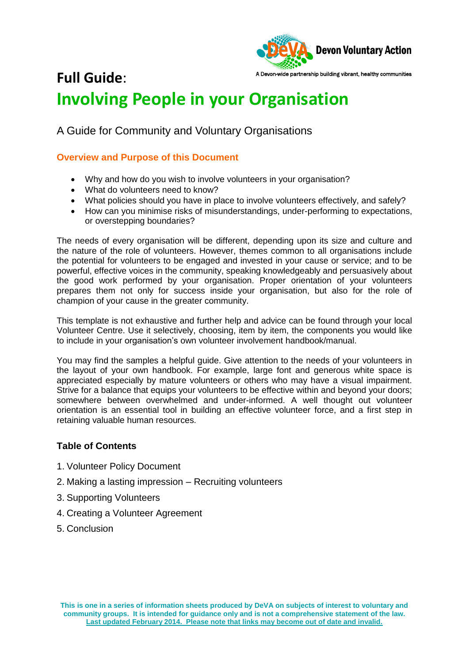

# A Devon-wide partnership building vibrant, healthy communities **Full Guide**: **Involving People in your Organisation**

A Guide for Community and Voluntary Organisations

## **Overview and Purpose of this Document**

- Why and how do you wish to involve volunteers in your organisation?
- What do volunteers need to know?
- What policies should you have in place to involve volunteers effectively, and safely?
- How can you minimise risks of misunderstandings, under-performing to expectations, or overstepping boundaries?

The needs of every organisation will be different, depending upon its size and culture and the nature of the role of volunteers. However, themes common to all organisations include the potential for volunteers to be engaged and invested in your cause or service; and to be powerful, effective voices in the community, speaking knowledgeably and persuasively about the good work performed by your organisation. Proper orientation of your volunteers prepares them not only for success inside your organisation, but also for the role of champion of your cause in the greater community.

This template is not exhaustive and further help and advice can be found through your local Volunteer Centre. Use it selectively, choosing, item by item, the components you would like to include in your organisation's own volunteer involvement handbook/manual.

You may find the samples a helpful guide. Give attention to the needs of your volunteers in the layout of your own handbook. For example, large font and generous white space is appreciated especially by mature volunteers or others who may have a visual impairment. Strive for a balance that equips your volunteers to be effective within and beyond your doors; somewhere between overwhelmed and under-informed. A well thought out volunteer orientation is an essential tool in building an effective volunteer force, and a first step in retaining valuable human resources.

## **Table of Contents**

- 1. Volunteer Policy Document
- 2. Making a lasting impression Recruiting volunteers
- 3. Supporting Volunteers
- 4. Creating a Volunteer Agreement
- 5. Conclusion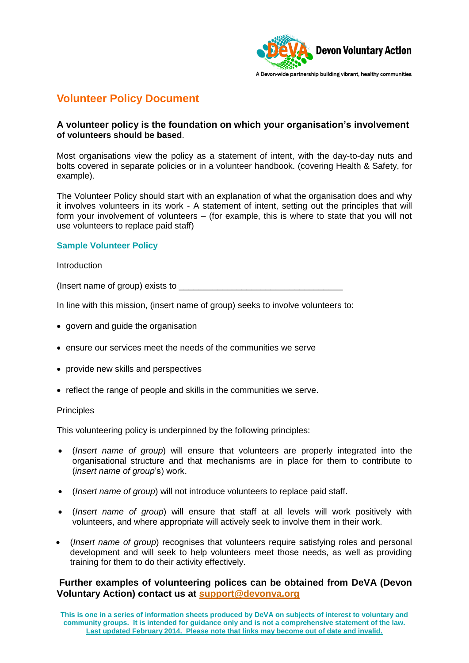

## **Volunteer Policy Document**

## **A volunteer policy is the foundation on which your organisation's involvement of volunteers should be based**.

Most organisations view the policy as a statement of intent, with the day-to-day nuts and bolts covered in separate policies or in a volunteer handbook. (covering Health & Safety, for example).

The Volunteer Policy should start with an explanation of what the organisation does and why it involves volunteers in its work - A statement of intent, setting out the principles that will form your involvement of volunteers – (for example, this is where to state that you will not use volunteers to replace paid staff)

## **Sample Volunteer Policy**

**Introduction** 

(Insert name of group) exists to  $\Box$ 

In line with this mission, (insert name of group) seeks to involve volunteers to:

- govern and guide the organisation
- ensure our services meet the needs of the communities we serve
- provide new skills and perspectives
- reflect the range of people and skills in the communities we serve.

#### **Principles**

This volunteering policy is underpinned by the following principles:

- (*Insert name of group*) will ensure that volunteers are properly integrated into the organisational structure and that mechanisms are in place for them to contribute to (*insert name of group*'s) work.
- (*Insert name of group*) will not introduce volunteers to replace paid staff.
- (*Insert name of group*) will ensure that staff at all levels will work positively with volunteers, and where appropriate will actively seek to involve them in their work.
- (*Insert name of group*) recognises that volunteers require satisfying roles and personal development and will seek to help volunteers meet those needs, as well as providing training for them to do their activity effectively.

## **Further examples of volunteering polices can be obtained from DeVA (Devon Voluntary Action) contact us at [support@devonva.org](mailto:support@devonva.org)**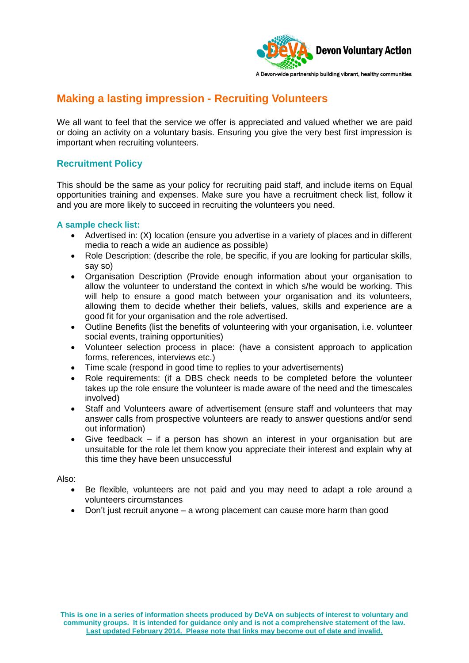

# **Making a lasting impression - Recruiting Volunteers**

We all want to feel that the service we offer is appreciated and valued whether we are paid or doing an activity on a voluntary basis. Ensuring you give the very best first impression is important when recruiting volunteers.

## **Recruitment Policy**

This should be the same as your policy for recruiting paid staff, and include items on Equal opportunities training and expenses. Make sure you have a recruitment check list, follow it and you are more likely to succeed in recruiting the volunteers you need.

### **A sample check list:**

- Advertised in: (X) location (ensure you advertise in a variety of places and in different media to reach a wide an audience as possible)
- Role Description: (describe the role, be specific, if you are looking for particular skills, say so)
- Organisation Description (Provide enough information about your organisation to allow the volunteer to understand the context in which s/he would be working. This will help to ensure a good match between your organisation and its volunteers, allowing them to decide whether their beliefs, values, skills and experience are a good fit for your organisation and the role advertised.
- Outline Benefits (list the benefits of volunteering with your organisation, i.e. volunteer social events, training opportunities)
- Volunteer selection process in place: (have a consistent approach to application forms, references, interviews etc.)
- Time scale (respond in good time to replies to your advertisements)
- Role requirements: (if a DBS check needs to be completed before the volunteer takes up the role ensure the volunteer is made aware of the need and the timescales involved)
- Staff and Volunteers aware of advertisement (ensure staff and volunteers that may answer calls from prospective volunteers are ready to answer questions and/or send out information)
- Give feedback if a person has shown an interest in your organisation but are unsuitable for the role let them know you appreciate their interest and explain why at this time they have been unsuccessful

Also:

- Be flexible, volunteers are not paid and you may need to adapt a role around a volunteers circumstances
- Don't just recruit anyone a wrong placement can cause more harm than good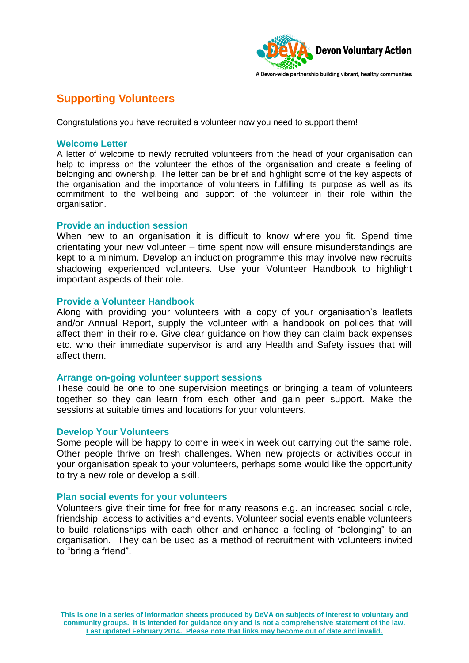

# **Supporting Volunteers**

Congratulations you have recruited a volunteer now you need to support them!

#### **Welcome Letter**

A letter of welcome to newly recruited volunteers from the head of your organisation can help to impress on the volunteer the ethos of the organisation and create a feeling of belonging and ownership. The letter can be brief and highlight some of the key aspects of the organisation and the importance of volunteers in fulfilling its purpose as well as its commitment to the wellbeing and support of the volunteer in their role within the organisation.

### **Provide an induction session**

When new to an organisation it is difficult to know where you fit. Spend time orientating your new volunteer – time spent now will ensure misunderstandings are kept to a minimum. Develop an induction programme this may involve new recruits shadowing experienced volunteers. Use your Volunteer Handbook to highlight important aspects of their role.

#### **Provide a Volunteer Handbook**

Along with providing your volunteers with a copy of your organisation's leaflets and/or Annual Report, supply the volunteer with a handbook on polices that will affect them in their role. Give clear guidance on how they can claim back expenses etc. who their immediate supervisor is and any Health and Safety issues that will affect them.

### **Arrange on-going volunteer support sessions**

These could be one to one supervision meetings or bringing a team of volunteers together so they can learn from each other and gain peer support. Make the sessions at suitable times and locations for your volunteers.

#### **Develop Your Volunteers**

Some people will be happy to come in week in week out carrying out the same role. Other people thrive on fresh challenges. When new projects or activities occur in your organisation speak to your volunteers, perhaps some would like the opportunity to try a new role or develop a skill.

### **Plan social events for your volunteers**

Volunteers give their time for free for many reasons e.g. an increased social circle, friendship, access to activities and events. Volunteer social events enable volunteers to build relationships with each other and enhance a feeling of "belonging" to an organisation. They can be used as a method of recruitment with volunteers invited to "bring a friend".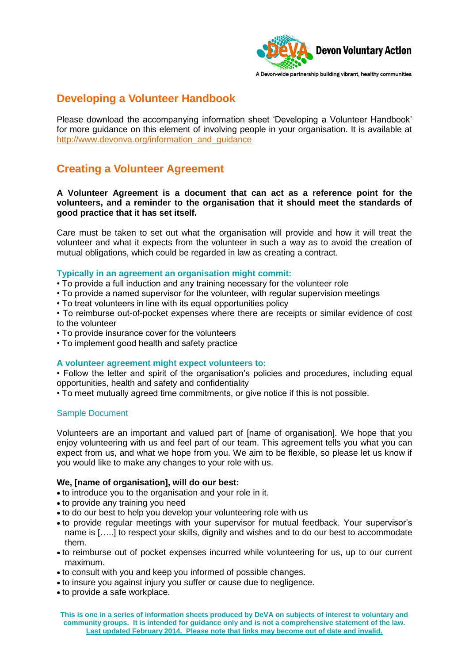

## **Developing a Volunteer Handbook**

Please download the accompanying information sheet 'Developing a Volunteer Handbook' for more guidance on this element of involving people in your organisation. It is available at [http://www.devonva.org/information\\_and\\_guidance](http://www.devonva.org/information_and_guidance)

# **Creating a Volunteer Agreement**

**A Volunteer Agreement is a document that can act as a reference point for the volunteers, and a reminder to the organisation that it should meet the standards of good practice that it has set itself.** 

Care must be taken to set out what the organisation will provide and how it will treat the volunteer and what it expects from the volunteer in such a way as to avoid the creation of mutual obligations, which could be regarded in law as creating a contract.

#### **Typically in an agreement an organisation might commit:**

- To provide a full induction and any training necessary for the volunteer role
- To provide a named supervisor for the volunteer, with regular supervision meetings
- To treat volunteers in line with its equal opportunities policy

• To reimburse out-of-pocket expenses where there are receipts or similar evidence of cost to the volunteer

- To provide insurance cover for the volunteers
- To implement good health and safety practice

### **A volunteer agreement might expect volunteers to:**

• Follow the letter and spirit of the organisation's policies and procedures, including equal opportunities, health and safety and confidentiality

• To meet mutually agreed time commitments, or give notice if this is not possible.

### Sample Document

Volunteers are an important and valued part of [name of organisation]. We hope that you enjoy volunteering with us and feel part of our team. This agreement tells you what you can expect from us, and what we hope from you. We aim to be flexible, so please let us know if you would like to make any changes to your role with us.

#### **We, [name of organisation], will do our best:**

- to introduce you to the organisation and your role in it.
- to provide any training you need
- to do our best to help you develop your volunteering role with us
- to provide regular meetings with your supervisor for mutual feedback. Your supervisor's name is […..] to respect your skills, dignity and wishes and to do our best to accommodate them.
- to reimburse out of pocket expenses incurred while volunteering for us, up to our current maximum.
- to consult with you and keep you informed of possible changes.
- to insure you against injury you suffer or cause due to negligence.
- to provide a safe workplace.

**This is one in a series of information sheets produced by DeVA on subjects of interest to voluntary and community groups. It is intended for guidance only and is not a comprehensive statement of the law. Last updated February 2014. Please note that links may become out of date and invalid.**